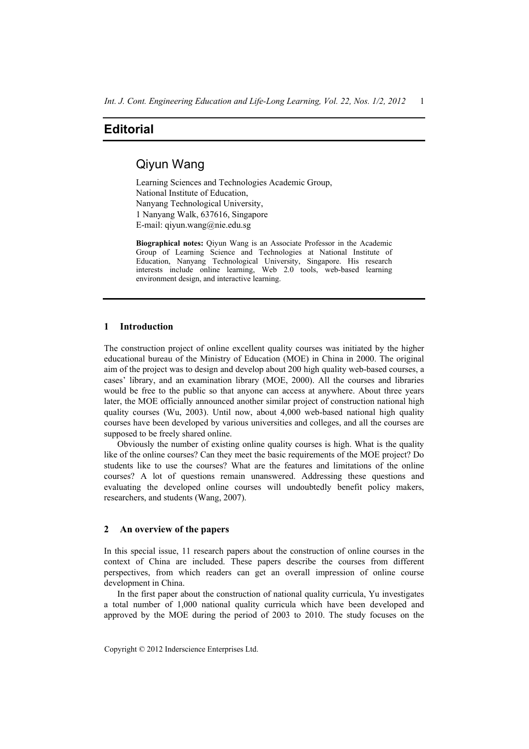# **Editorial**

# Qiyun Wang

Learning Sciences and Technologies Academic Group, National Institute of Education, Nanyang Technological University, 1 Nanyang Walk, 637616, Singapore E-mail: qiyun.wang@nie.edu.sg

**Biographical notes:** Qiyun Wang is an Associate Professor in the Academic Group of Learning Science and Technologies at National Institute of Education, Nanyang Technological University, Singapore. His research interests include online learning, Web 2.0 tools, web-based learning environment design, and interactive learning.

## **1 Introduction**

The construction project of online excellent quality courses was initiated by the higher educational bureau of the Ministry of Education (MOE) in China in 2000. The original aim of the project was to design and develop about 200 high quality web-based courses, a cases' library, and an examination library (MOE, 2000). All the courses and libraries would be free to the public so that anyone can access at anywhere. About three years later, the MOE officially announced another similar project of construction national high quality courses (Wu, 2003). Until now, about 4,000 web-based national high quality courses have been developed by various universities and colleges, and all the courses are supposed to be freely shared online.

Obviously the number of existing online quality courses is high. What is the quality like of the online courses? Can they meet the basic requirements of the MOE project? Do students like to use the courses? What are the features and limitations of the online courses? A lot of questions remain unanswered. Addressing these questions and evaluating the developed online courses will undoubtedly benefit policy makers, researchers, and students (Wang, 2007).

### **2 An overview of the papers**

In this special issue, 11 research papers about the construction of online courses in the context of China are included. These papers describe the courses from different perspectives, from which readers can get an overall impression of online course development in China.

In the first paper about the construction of national quality curricula, Yu investigates a total number of 1,000 national quality curricula which have been developed and approved by the MOE during the period of 2003 to 2010. The study focuses on the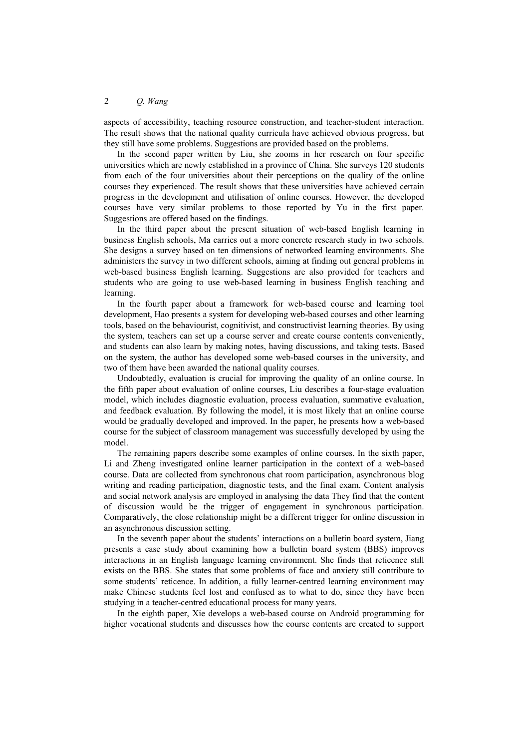### 2 *Q. Wang*

aspects of accessibility, teaching resource construction, and teacher-student interaction. The result shows that the national quality curricula have achieved obvious progress, but they still have some problems. Suggestions are provided based on the problems.

In the second paper written by Liu, she zooms in her research on four specific universities which are newly established in a province of China. She surveys 120 students from each of the four universities about their perceptions on the quality of the online courses they experienced. The result shows that these universities have achieved certain progress in the development and utilisation of online courses. However, the developed courses have very similar problems to those reported by Yu in the first paper. Suggestions are offered based on the findings.

In the third paper about the present situation of web-based English learning in business English schools, Ma carries out a more concrete research study in two schools. She designs a survey based on ten dimensions of networked learning environments. She administers the survey in two different schools, aiming at finding out general problems in web-based business English learning. Suggestions are also provided for teachers and students who are going to use web-based learning in business English teaching and learning.

In the fourth paper about a framework for web-based course and learning tool development, Hao presents a system for developing web-based courses and other learning tools, based on the behaviourist, cognitivist, and constructivist learning theories. By using the system, teachers can set up a course server and create course contents conveniently, and students can also learn by making notes, having discussions, and taking tests. Based on the system, the author has developed some web-based courses in the university, and two of them have been awarded the national quality courses.

Undoubtedly, evaluation is crucial for improving the quality of an online course. In the fifth paper about evaluation of online courses, Liu describes a four-stage evaluation model, which includes diagnostic evaluation, process evaluation, summative evaluation, and feedback evaluation. By following the model, it is most likely that an online course would be gradually developed and improved. In the paper, he presents how a web-based course for the subject of classroom management was successfully developed by using the model.

The remaining papers describe some examples of online courses. In the sixth paper, Li and Zheng investigated online learner participation in the context of a web-based course. Data are collected from synchronous chat room participation, asynchronous blog writing and reading participation, diagnostic tests, and the final exam. Content analysis and social network analysis are employed in analysing the data They find that the content of discussion would be the trigger of engagement in synchronous participation. Comparatively, the close relationship might be a different trigger for online discussion in an asynchronous discussion setting.

In the seventh paper about the students' interactions on a bulletin board system, Jiang presents a case study about examining how a bulletin board system (BBS) improves interactions in an English language learning environment. She finds that reticence still exists on the BBS. She states that some problems of face and anxiety still contribute to some students' reticence. In addition, a fully learner-centred learning environment may make Chinese students feel lost and confused as to what to do, since they have been studying in a teacher-centred educational process for many years.

In the eighth paper, Xie develops a web-based course on Android programming for higher vocational students and discusses how the course contents are created to support